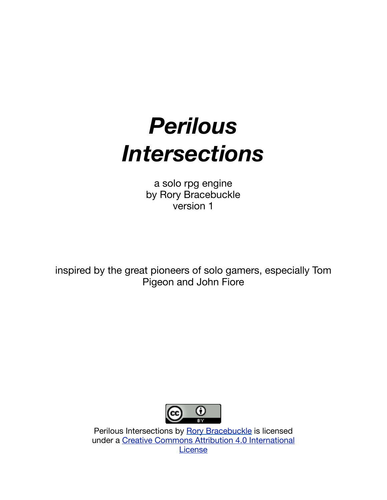# *Perilous Intersections*

a solo rpg engine by Rory Bracebuckle version 1

inspired by the great pioneers of solo gamers, especially Tom Pigeon and John Fiore



Perilous Intersections by [Rory Bracebuckle](http://noonetoplay.blogspot.com/) is licensed under a [Creative Commons Attribution 4.0 International](http://creativecommons.org/licenses/by/4.0/)  **[License](http://creativecommons.org/licenses/by/4.0/)**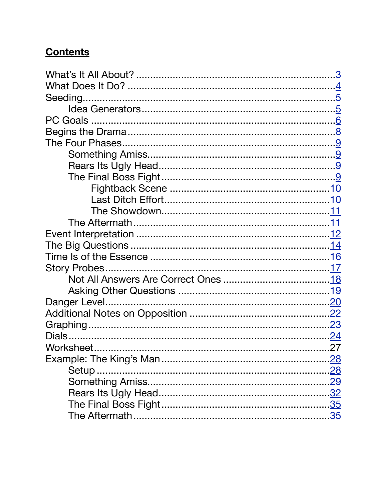#### **Contents**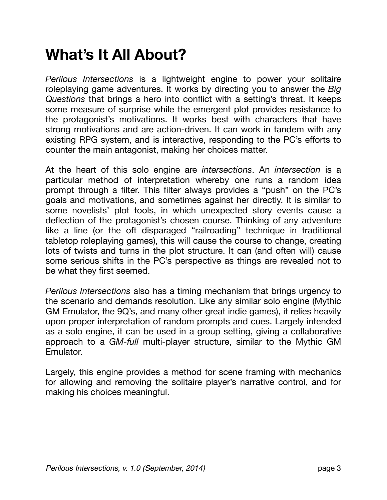## <span id="page-2-0"></span>**What's It All About?**

*Perilous Intersections* is a lightweight engine to power your solitaire roleplaying game adventures. It works by directing you to answer the *Big Questions* that brings a hero into conflict with a setting's threat. It keeps some measure of surprise while the emergent plot provides resistance to the protagonist's motivations. It works best with characters that have strong motivations and are action-driven. It can work in tandem with any existing RPG system, and is interactive, responding to the PC's efforts to counter the main antagonist, making her choices matter.

At the heart of this solo engine are *intersections*. An *intersection* is a particular method of interpretation whereby one runs a random idea prompt through a filter. This filter always provides a "push" on the PC's goals and motivations, and sometimes against her directly. It is similar to some novelists' plot tools, in which unexpected story events cause a deflection of the protagonist's chosen course. Thinking of any adventure like a line (or the oft disparaged "railroading" technique in traditional tabletop roleplaying games), this will cause the course to change, creating lots of twists and turns in the plot structure. It can (and often will) cause some serious shifts in the PC's perspective as things are revealed not to be what they first seemed.

*Perilous Intersections* also has a timing mechanism that brings urgency to the scenario and demands resolution. Like any similar solo engine (Mythic GM Emulator, the 9Q's, and many other great indie games), it relies heavily upon proper interpretation of random prompts and cues. Largely intended as a solo engine, it can be used in a group setting, giving a collaborative approach to a *GM-full* multi-player structure, similar to the Mythic GM Emulator.

Largely, this engine provides a method for scene framing with mechanics for allowing and removing the solitaire player's narrative control, and for making his choices meaningful.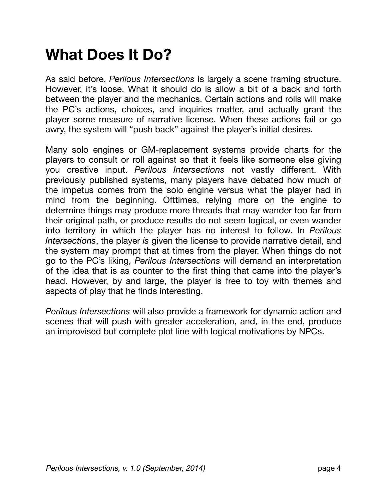## <span id="page-3-0"></span>**What Does It Do?**

As said before, *Perilous Intersections* is largely a scene framing structure. However, it's loose. What it should do is allow a bit of a back and forth between the player and the mechanics. Certain actions and rolls will make the PC's actions, choices, and inquiries matter, and actually grant the player some measure of narrative license. When these actions fail or go awry, the system will "push back" against the player's initial desires.

Many solo engines or GM-replacement systems provide charts for the players to consult or roll against so that it feels like someone else giving you creative input. *Perilous Intersections* not vastly different. With previously published systems, many players have debated how much of the impetus comes from the solo engine versus what the player had in mind from the beginning. Ofttimes, relying more on the engine to determine things may produce more threads that may wander too far from their original path, or produce results do not seem logical, or even wander into territory in which the player has no interest to follow. In *Perilous Intersections*, the player *is* given the license to provide narrative detail, and the system may prompt that at times from the player. When things do not go to the PC's liking, *Perilous Intersections* will demand an interpretation of the idea that is as counter to the first thing that came into the player's head. However, by and large, the player is free to toy with themes and aspects of play that he finds interesting.

*Perilous Intersections* will also provide a framework for dynamic action and scenes that will push with greater acceleration, and, in the end, produce an improvised but complete plot line with logical motivations by NPCs.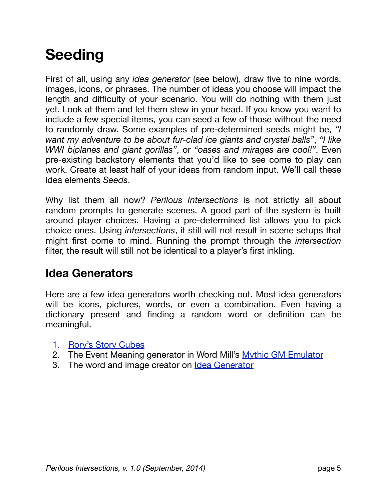## <span id="page-4-0"></span>**Seeding**

First of all, using any *idea generator* (see below), draw five to nine words, images, icons, or phrases. The number of ideas you choose will impact the length and difficulty of your scenario. You will do nothing with them just yet. Look at them and let them stew in your head. If you know you want to include a few special items, you can seed a few of those without the need to randomly draw. Some examples of pre-determined seeds might be, *"I want my adventure to be about fur-clad ice giants and crystal balls"*, *"I like WWI biplanes and giant gorillas"*, or *"oases and mirages are cool!"*. Even pre-existing backstory elements that you'd like to see come to play can work. Create at least half of your ideas from random input. We'll call these idea elements *Seeds*.

Why list them all now? *Perilous Intersections* is not strictly all about random prompts to generate scenes. A good part of the system is built around player choices. Having a pre-determined list allows you to pick choice ones. Using *intersections*, it still will not result in scene setups that might first come to mind. Running the prompt through the *intersection* filter, the result will still not be identical to a player's first inkling.

#### <span id="page-4-1"></span>**Idea Generators**

Here are a few idea generators worth checking out. Most idea generators will be icons, pictures, words, or even a combination. Even having a dictionary present and finding a random word or definition can be meaningful.

- 1. [Rory's Story Cubes](http://www.storycubes.com/)
- 2. The Event Meaning generator in Word Mill's [Mythic GM Emulator](http://www.mythic.wordpr.com/page14/page9/page9.html)
- 3. The word and image creator on [Idea Generator](http://ideagenerator.creativitygames.net/)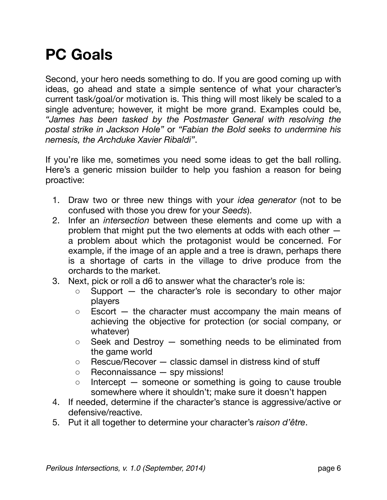## <span id="page-5-0"></span>**PC Goals**

Second, your hero needs something to do. If you are good coming up with ideas, go ahead and state a simple sentence of what your character's current task/goal/or motivation is. This thing will most likely be scaled to a single adventure; however, it might be more grand. Examples could be, *"James has been tasked by the Postmaster General with resolving the postal strike in Jackson Hole"* or *"Fabian the Bold seeks to undermine his nemesis, the Archduke Xavier Ribaldi"*.

If you're like me, sometimes you need some ideas to get the ball rolling. Here's a generic mission builder to help you fashion a reason for being proactive:

- 1. Draw two or three new things with your *idea generator* (not to be confused with those you drew for your *Seeds*).
- 2. Infer an *intersection* between these elements and come up with a problem that might put the two elements at odds with each other a problem about which the protagonist would be concerned. For example, if the image of an apple and a tree is drawn, perhaps there is a shortage of carts in the village to drive produce from the orchards to the market.
- 3. Next, pick or roll a d6 to answer what the character's role is:
	- Support the character's role is secondary to other major players
	- Escort the character must accompany the main means of achieving the objective for protection (or social company, or whatever)
	- Seek and Destroy something needs to be eliminated from the game world
	- Rescue/Recover classic damsel in distress kind of stuff
	- Reconnaissance spy missions!
	- Intercept someone or something is going to cause trouble somewhere where it shouldn't; make sure it doesn't happen
- 4. If needed, determine if the character's stance is aggressive/active or defensive/reactive.
- 5. Put it all together to determine your character's *raison d'être*.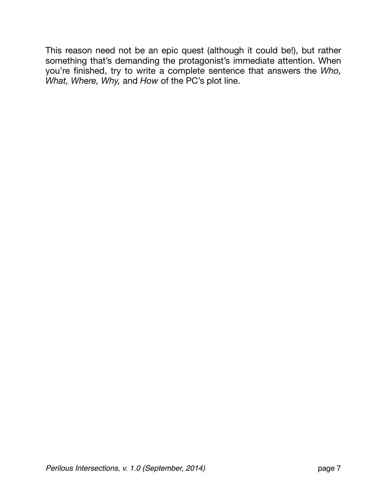This reason need not be an epic quest (although it could be!), but rather something that's demanding the protagonist's immediate attention. When you're finished, try to write a complete sentence that answers the *Who, What, Where, Why,* and *How* of the PC's plot line.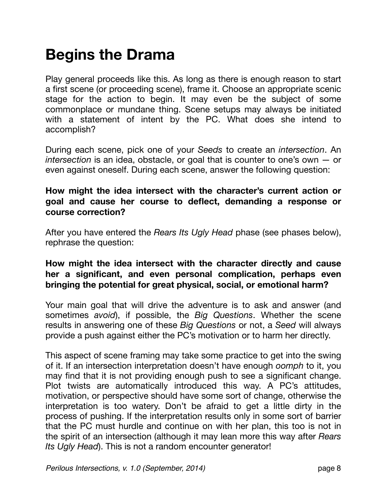## <span id="page-7-0"></span>**Begins the Drama**

Play general proceeds like this. As long as there is enough reason to start a first scene (or proceeding scene), frame it. Choose an appropriate scenic stage for the action to begin. It may even be the subject of some commonplace or mundane thing. Scene setups may always be initiated with a statement of intent by the PC. What does she intend to accomplish?

During each scene, pick one of your *Seeds* to create an *intersection*. An *intersection* is an idea, obstacle, or goal that is counter to one's own — or even against oneself. During each scene, answer the following question:

#### **How might the idea intersect with the character's current action or goal and cause her course to deflect, demanding a response or course correction?**

After you have entered the *Rears Its Ugly Head* phase (see phases below), rephrase the question:

#### **How might the idea intersect with the character directly and cause her a significant, and even personal complication, perhaps even bringing the potential for great physical, social, or emotional harm?**

Your main goal that will drive the adventure is to ask and answer (and sometimes *avoid*), if possible, the *Big Questions*. Whether the scene results in answering one of these *Big Questions* or not, a *Seed* will always provide a push against either the PC's motivation or to harm her directly.

This aspect of scene framing may take some practice to get into the swing of it. If an intersection interpretation doesn't have enough *oomph* to it, you may find that it is not providing enough push to see a significant change. Plot twists are automatically introduced this way. A PC's attitudes, motivation, or perspective should have some sort of change, otherwise the interpretation is too watery. Don't be afraid to get a little dirty in the process of pushing. If the interpretation results only in some sort of barrier that the PC must hurdle and continue on with her plan, this too is not in the spirit of an intersection (although it may lean more this way after *Rears Its Ugly Head*). This is not a random encounter generator!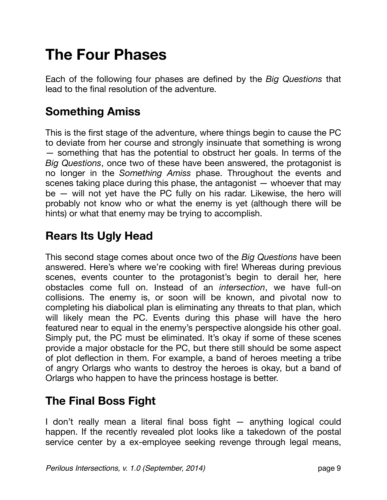## <span id="page-8-0"></span>**The Four Phases**

Each of the following four phases are defined by the *Big Questions* that lead to the final resolution of the adventure.

#### <span id="page-8-1"></span>**Something Amiss**

This is the first stage of the adventure, where things begin to cause the PC to deviate from her course and strongly insinuate that something is wrong — something that has the potential to obstruct her goals. In terms of the *Big Questions*, once two of these have been answered, the protagonist is no longer in the *Something Amiss* phase. Throughout the events and scenes taking place during this phase, the antagonist — whoever that may be — will not yet have the PC fully on his radar. Likewise, the hero will probably not know who or what the enemy is yet (although there will be hints) or what that enemy may be trying to accomplish.

### <span id="page-8-2"></span>**Rears Its Ugly Head**

This second stage comes about once two of the *Big Questions* have been answered. Here's where we're cooking with fire! Whereas during previous scenes, events counter to the protagonist's begin to derail her, here obstacles come full on. Instead of an *intersection*, we have full-on collisions. The enemy is, or soon will be known, and pivotal now to completing his diabolical plan is eliminating any threats to that plan, which will likely mean the PC. Events during this phase will have the hero featured near to equal in the enemy's perspective alongside his other goal. Simply put, the PC must be eliminated. It's okay if some of these scenes provide a major obstacle for the PC, but there still should be some aspect of plot deflection in them. For example, a band of heroes meeting a tribe of angry Orlargs who wants to destroy the heroes is okay, but a band of Orlargs who happen to have the princess hostage is better.

#### <span id="page-8-3"></span>**The Final Boss Fight**

I don't really mean a literal final boss fight — anything logical could happen. If the recently revealed plot looks like a takedown of the postal service center by a ex-employee seeking revenge through legal means,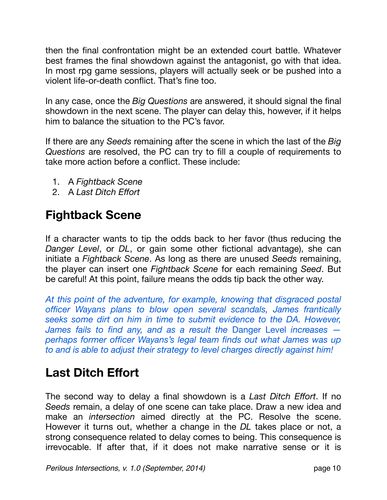then the final confrontation might be an extended court battle. Whatever best frames the final showdown against the antagonist, go with that idea. In most rpg game sessions, players will actually seek or be pushed into a violent life-or-death conflict. That's fine too.

In any case, once the *Big Questions* are answered, it should signal the final showdown in the next scene. The player can delay this, however, if it helps him to balance the situation to the PC's favor.

If there are any *Seeds* remaining after the scene in which the last of the *Big Questions* are resolved, the PC can try to fill a couple of requirements to take more action before a conflict. These include:

- 1. A *Fightback Scene*
- 2. A *Last Ditch Effort*

### <span id="page-9-0"></span>**Fightback Scene**

If a character wants to tip the odds back to her favor (thus reducing the *Danger Level*, or *DL*, or gain some other fictional advantage), she can initiate a *Fightback Scene*. As long as there are unused *Seeds* remaining, the player can insert one *Fightback Scene* for each remaining *Seed*. But be careful! At this point, failure means the odds tip back the other way.

*At this point of the adventure, for example, knowing that disgraced postal officer Wayans plans to blow open several scandals, James frantically seeks some dirt on him in time to submit evidence to the DA. However, James fails to find any, and as a result the* Danger Level *increases perhaps former officer Wayans's legal team finds out what James was up to and is able to adjust their strategy to level charges directly against him!*

### <span id="page-9-1"></span>**Last Ditch Effort**

The second way to delay a final showdown is a *Last Ditch Effort*. If no *Seeds* remain, a delay of one scene can take place. Draw a new idea and make an *intersection* aimed directly at the PC. Resolve the scene. However it turns out, whether a change in the *DL* takes place or not, a strong consequence related to delay comes to being. This consequence is irrevocable. If after that, if it does not make narrative sense or it is

*Perilous Intersections, v. 1.0 (September, 2014)* page 10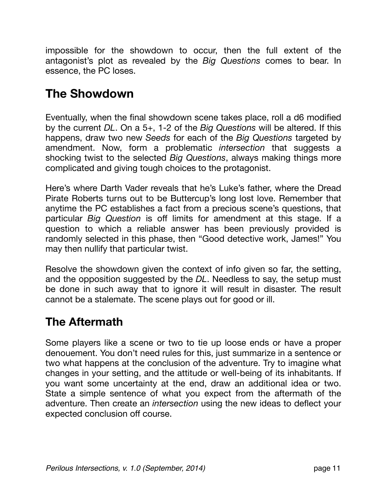impossible for the showdown to occur, then the full extent of the antagonist's plot as revealed by the *Big Questions* comes to bear. In essence, the PC loses.

### <span id="page-10-0"></span>**The Showdown**

Eventually, when the final showdown scene takes place, roll a d6 modified by the current *DL*. On a 5+, 1-2 of the *Big Questions* will be altered. If this happens, draw two new *Seeds* for each of the *Big Questions* targeted by amendment. Now, form a problematic *intersection* that suggests a shocking twist to the selected *Big Questions*, always making things more complicated and giving tough choices to the protagonist.

Here's where Darth Vader reveals that he's Luke's father, where the Dread Pirate Roberts turns out to be Buttercup's long lost love. Remember that anytime the PC establishes a fact from a precious scene's questions, that particular *Big Question* is off limits for amendment at this stage. If a question to which a reliable answer has been previously provided is randomly selected in this phase, then "Good detective work, James!" You may then nullify that particular twist.

Resolve the showdown given the context of info given so far, the setting, and the opposition suggested by the *DL*. Needless to say, the setup must be done in such away that to ignore it will result in disaster. The result cannot be a stalemate. The scene plays out for good or ill.

### <span id="page-10-1"></span>**The Aftermath**

Some players like a scene or two to tie up loose ends or have a proper denouement. You don't need rules for this, just summarize in a sentence or two what happens at the conclusion of the adventure. Try to imagine what changes in your setting, and the attitude or well-being of its inhabitants. If you want some uncertainty at the end, draw an additional idea or two. State a simple sentence of what you expect from the aftermath of the adventure. Then create an *intersection* using the new ideas to deflect your expected conclusion off course.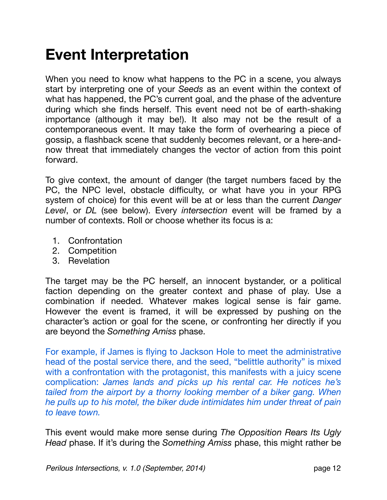## <span id="page-11-0"></span>**Event Interpretation**

When you need to know what happens to the PC in a scene, you always start by interpreting one of your *Seeds* as an event within the context of what has happened, the PC's current goal, and the phase of the adventure during which she finds herself. This event need not be of earth-shaking importance (although it may be!). It also may not be the result of a contemporaneous event. It may take the form of overhearing a piece of gossip, a flashback scene that suddenly becomes relevant, or a here-andnow threat that immediately changes the vector of action from this point forward.

To give context, the amount of danger (the target numbers faced by the PC, the NPC level, obstacle difficulty, or what have you in your RPG system of choice) for this event will be at or less than the current *Danger Level*, or *DL* (see below). Every *intersection* event will be framed by a number of contexts. Roll or choose whether its focus is a:

- 1. Confrontation
- 2. Competition
- 3. Revelation

The target may be the PC herself, an innocent bystander, or a political faction depending on the greater context and phase of play. Use a combination if needed. Whatever makes logical sense is fair game. However the event is framed, it will be expressed by pushing on the character's action or goal for the scene, or confronting her directly if you are beyond the *Something Amiss* phase.

For example, if James is flying to Jackson Hole to meet the administrative head of the postal service there, and the seed, "belittle authority" is mixed with a confrontation with the protagonist, this manifests with a juicy scene complication: *James lands and picks up his rental car. He notices he's tailed from the airport by a thorny looking member of a biker gang. When he pulls up to his motel, the biker dude intimidates him under threat of pain to leave town.*

This event would make more sense during *The Opposition Rears Its Ugly Head* phase. If it's during the *Something Amiss* phase, this might rather be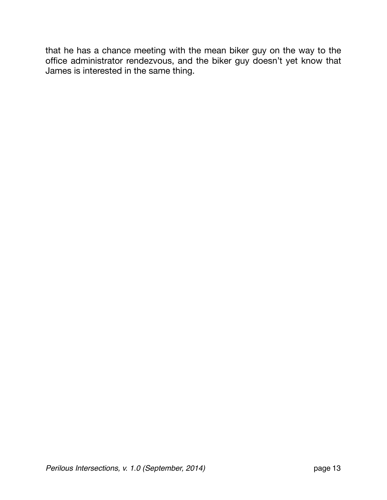that he has a chance meeting with the mean biker guy on the way to the office administrator rendezvous, and the biker guy doesn't yet know that James is interested in the same thing.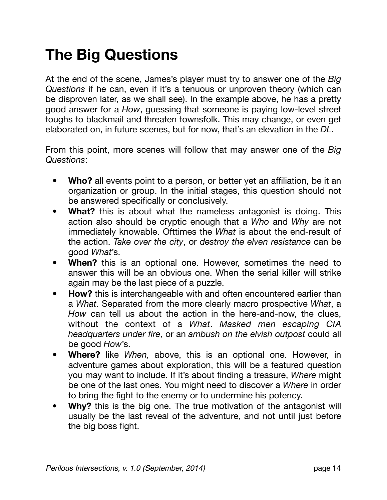## <span id="page-13-0"></span>**The Big Questions**

At the end of the scene, James's player must try to answer one of the *Big Questions* if he can, even if it's a tenuous or unproven theory (which can be disproven later, as we shall see). In the example above, he has a pretty good answer for a *How*, guessing that someone is paying low-level street toughs to blackmail and threaten townsfolk. This may change, or even get elaborated on, in future scenes, but for now, that's an elevation in the *DL*.

From this point, more scenes will follow that may answer one of the *Big Questions*:

- **• Who?** all events point to a person, or better yet an affiliation, be it an organization or group. In the initial stages, this question should not be answered specifically or conclusively.
- **• What?** this is about what the nameless antagonist is doing. This action also should be cryptic enough that a *Who* and *Why* are not immediately knowable. Ofttimes the *What* is about the end-result of the action. *Take over the city*, or *destroy the elven resistance* can be good *What*'s.
- **• When?** this is an optional one. However, sometimes the need to answer this will be an obvious one. When the serial killer will strike again may be the last piece of a puzzle.
- **• How?** this is interchangeable with and often encountered earlier than a *What*. Separated from the more clearly macro prospective *What*, a *How* can tell us about the action in the here-and-now, the clues, without the context of a *What*. *Masked men escaping CIA headquarters under fire*, or an *ambush on the elvish outpost* could all be good *How*'s.
- **• Where?** like *When,* above, this is an optional one. However, in adventure games about exploration, this will be a featured question you may want to include. If it's about finding a treasure, *Where* might be one of the last ones. You might need to discover a *Where* in order to bring the fight to the enemy or to undermine his potency.
- **• Why?** this is the big one. The true motivation of the antagonist will usually be the last reveal of the adventure, and not until just before the big boss fight.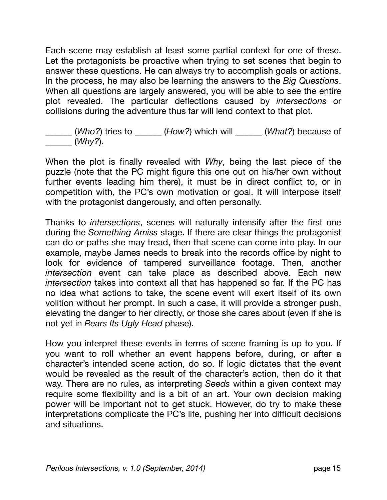Each scene may establish at least some partial context for one of these. Let the protagonists be proactive when trying to set scenes that begin to answer these questions. He can always try to accomplish goals or actions. In the process, he may also be learning the answers to the *Big Questions*. When all questions are largely answered, you will be able to see the entire plot revealed. The particular deflections caused by *intersections* or collisions during the adventure thus far will lend context to that plot.

\_\_\_\_\_\_ (*Who?*) tries to \_\_\_\_\_\_ (*How?*) which will \_\_\_\_\_\_ (*What?*) because of \_\_\_\_\_\_ (*Why?*).

When the plot is finally revealed with *Why*, being the last piece of the puzzle (note that the PC might figure this one out on his/her own without further events leading him there), it must be in direct conflict to, or in competition with, the PC's own motivation or goal. It will interpose itself with the protagonist dangerously, and often personally.

Thanks to *intersections*, scenes will naturally intensify after the first one during the *Something Amiss* stage. If there are clear things the protagonist can do or paths she may tread, then that scene can come into play. In our example, maybe James needs to break into the records office by night to look for evidence of tampered surveillance footage. Then, another *intersection* event can take place as described above. Each new *intersection* takes into context all that has happened so far. If the PC has no idea what actions to take, the scene event will exert itself of its own volition without her prompt. In such a case, it will provide a stronger push, elevating the danger to her directly, or those she cares about (even if she is not yet in *Rears Its Ugly Head* phase).

How you interpret these events in terms of scene framing is up to you. If you want to roll whether an event happens before, during, or after a character's intended scene action, do so. If logic dictates that the event would be revealed as the result of the character's action, then do it that way. There are no rules, as interpreting *Seeds* within a given context may require some flexibility and is a bit of an art. Your own decision making power will be important not to get stuck. However, do try to make these interpretations complicate the PC's life, pushing her into difficult decisions and situations.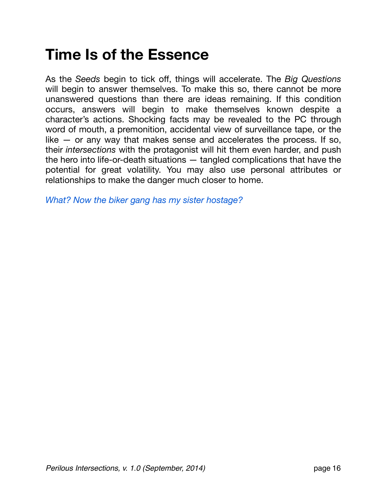## <span id="page-15-0"></span>**Time Is of the Essence**

As the *Seeds* begin to tick off, things will accelerate. The *Big Questions* will begin to answer themselves. To make this so, there cannot be more unanswered questions than there are ideas remaining. If this condition occurs, answers will begin to make themselves known despite a character's actions. Shocking facts may be revealed to the PC through word of mouth, a premonition, accidental view of surveillance tape, or the like  $-$  or any way that makes sense and accelerates the process. If so, their *intersections* with the protagonist will hit them even harder, and push the hero into life-or-death situations — tangled complications that have the potential for great volatility. You may also use personal attributes or relationships to make the danger much closer to home.

*What? Now the biker gang has my sister hostage?*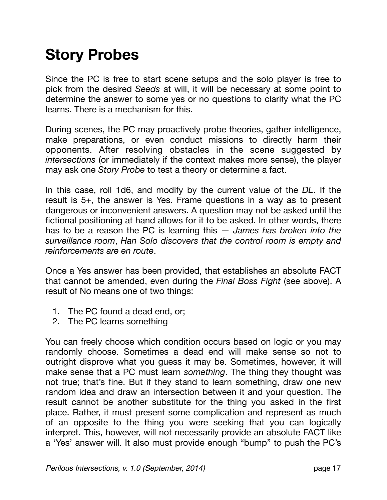## <span id="page-16-0"></span>**Story Probes**

Since the PC is free to start scene setups and the solo player is free to pick from the desired *Seeds* at will, it will be necessary at some point to determine the answer to some yes or no questions to clarify what the PC learns. There is a mechanism for this.

During scenes, the PC may proactively probe theories, gather intelligence, make preparations, or even conduct missions to directly harm their opponents. After resolving obstacles in the scene suggested by *intersections* (or immediately if the context makes more sense), the player may ask one *Story Probe* to test a theory or determine a fact.

In this case, roll 1d6, and modify by the current value of the *DL*. If the result is 5+, the answer is Yes. Frame questions in a way as to present dangerous or inconvenient answers. A question may not be asked until the fictional positioning at hand allows for it to be asked. In other words, there has to be a reason the PC is learning this — *James has broken into the surveillance room*, *Han Solo discovers that the control room is empty and reinforcements are en route*.

Once a Yes answer has been provided, that establishes an absolute FACT that cannot be amended, even during the *Final Boss Fight* (see above). A result of No means one of two things:

- 1. The PC found a dead end, or;
- 2. The PC learns something

You can freely choose which condition occurs based on logic or you may randomly choose. Sometimes a dead end will make sense so not to outright disprove what you guess it may be. Sometimes, however, it will make sense that a PC must learn *something*. The thing they thought was not true; that's fine. But if they stand to learn something, draw one new random idea and draw an intersection between it and your question. The result cannot be another substitute for the thing you asked in the first place. Rather, it must present some complication and represent as much of an opposite to the thing you were seeking that you can logically interpret. This, however, will not necessarily provide an absolute FACT like a 'Yes' answer will. It also must provide enough "bump" to push the PC's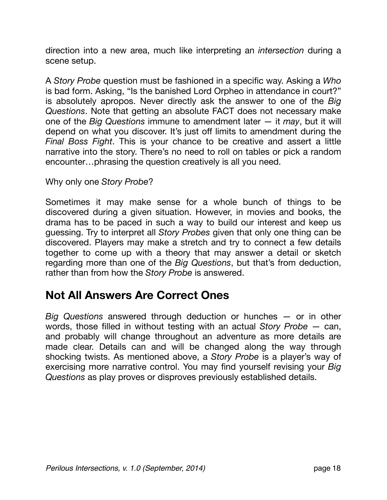direction into a new area, much like interpreting an *intersection* during a scene setup.

A *Story Probe* question must be fashioned in a specific way. Asking a *Who* is bad form. Asking, "Is the banished Lord Orpheo in attendance in court?" is absolutely apropos. Never directly ask the answer to one of the *Big Questions*. Note that getting an absolute FACT does not necessary make one of the *Big Questions* immune to amendment later — it *may*, but it will depend on what you discover. It's just off limits to amendment during the *Final Boss Fight*. This is your chance to be creative and assert a little narrative into the story. There's no need to roll on tables or pick a random encounter…phrasing the question creatively is all you need.

#### Why only one *Story Probe*?

Sometimes it may make sense for a whole bunch of things to be discovered during a given situation. However, in movies and books, the drama has to be paced in such a way to build our interest and keep us guessing. Try to interpret all *Story Probes* given that only one thing can be discovered. Players may make a stretch and try to connect a few details together to come up with a theory that may answer a detail or sketch regarding more than one of the *Big Questions*, but that's from deduction, rather than from how the *Story Probe* is answered.

#### <span id="page-17-0"></span>**Not All Answers Are Correct Ones**

*Big Questions* answered through deduction or hunches — or in other words, those filled in without testing with an actual *Story Probe* — can, and probably will change throughout an adventure as more details are made clear. Details can and will be changed along the way through shocking twists. As mentioned above, a *Story Probe* is a player's way of exercising more narrative control. You may find yourself revising your *Big Questions* as play proves or disproves previously established details.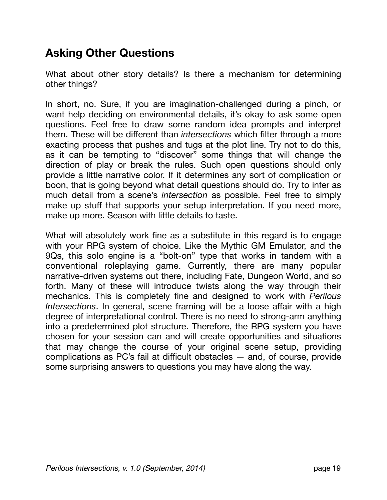#### <span id="page-18-0"></span>**Asking Other Questions**

What about other story details? Is there a mechanism for determining other things?

In short, no. Sure, if you are imagination-challenged during a pinch, or want help deciding on environmental details, it's okay to ask some open questions. Feel free to draw some random idea prompts and interpret them. These will be different than *intersections* which filter through a more exacting process that pushes and tugs at the plot line. Try not to do this, as it can be tempting to "discover" some things that will change the direction of play or break the rules. Such open questions should only provide a little narrative color. If it determines any sort of complication or boon, that is going beyond what detail questions should do. Try to infer as much detail from a scene's *intersection* as possible. Feel free to simply make up stuff that supports your setup interpretation. If you need more, make up more. Season with little details to taste.

What will absolutely work fine as a substitute in this regard is to engage with your RPG system of choice. Like the Mythic GM Emulator, and the 9Qs, this solo engine is a "bolt-on" type that works in tandem with a conventional roleplaying game. Currently, there are many popular narrative-driven systems out there, including Fate, Dungeon World, and so forth. Many of these will introduce twists along the way through their mechanics. This is completely fine and designed to work with *Perilous Intersections*. In general, scene framing will be a loose affair with a high degree of interpretational control. There is no need to strong-arm anything into a predetermined plot structure. Therefore, the RPG system you have chosen for your session can and will create opportunities and situations that may change the course of your original scene setup, providing complications as PC's fail at difficult obstacles — and, of course, provide some surprising answers to questions you may have along the way.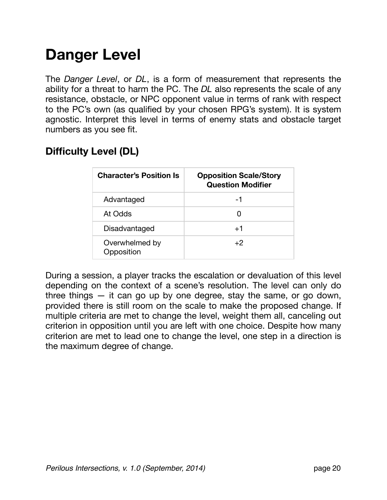## <span id="page-19-0"></span>**Danger Level**

The *Danger Level*, or *DL*, is a form of measurement that represents the ability for a threat to harm the PC. The *DL* also represents the scale of any resistance, obstacle, or NPC opponent value in terms of rank with respect to the PC's own (as qualified by your chosen RPG's system). It is system agnostic. Interpret this level in terms of enemy stats and obstacle target numbers as you see fit.

| <b>Character's Position Is</b> | <b>Opposition Scale/Story</b><br><b>Question Modifier</b> |
|--------------------------------|-----------------------------------------------------------|
| Advantaged                     | -1                                                        |
| At Odds                        | O                                                         |
| Disadvantaged                  | $+1$                                                      |
| Overwhelmed by<br>Opposition   | $+2$                                                      |

#### **Difficulty Level (DL)**

During a session, a player tracks the escalation or devaluation of this level depending on the context of a scene's resolution. The level can only do three things — it can go up by one degree, stay the same, or go down, provided there is still room on the scale to make the proposed change. If multiple criteria are met to change the level, weight them all, canceling out criterion in opposition until you are left with one choice. Despite how many criterion are met to lead one to change the level, one step in a direction is the maximum degree of change.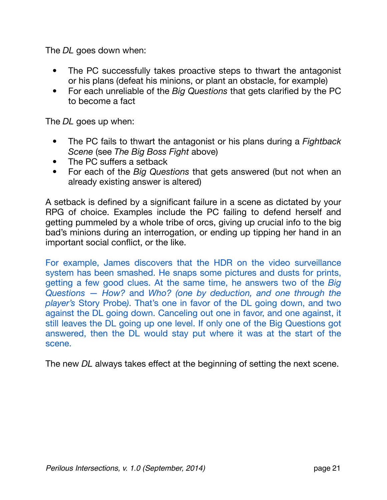The *DL* goes down when:

- The PC successfully takes proactive steps to thwart the antagonist or his plans (defeat his minions, or plant an obstacle, for example)
- For each unreliable of the *Big Questions* that gets clarified by the PC to become a fact

The *DL* goes up when:

- The PC fails to thwart the antagonist or his plans during a *Fightback Scene* (see *The Big Boss Fight* above)
- The PC suffers a setback
- For each of the *Big Questions* that gets answered (but not when an already existing answer is altered)

A setback is defined by a significant failure in a scene as dictated by your RPG of choice. Examples include the PC failing to defend herself and getting pummeled by a whole tribe of orcs, giving up crucial info to the big bad's minions during an interrogation, or ending up tipping her hand in an important social conflict, or the like.

For example, James discovers that the HDR on the video surveillance system has been smashed. He snaps some pictures and dusts for prints, getting a few good clues. At the same time, he answers two of the *Big Questions* — *How?* and *Who? (one by deduction, and one through the player's* Story Probe*)*. That's one in favor of the DL going down, and two against the DL going down. Canceling out one in favor, and one against, it still leaves the DL going up one level. If only one of the Big Questions got answered, then the DL would stay put where it was at the start of the scene.

The new *DL* always takes effect at the beginning of setting the next scene.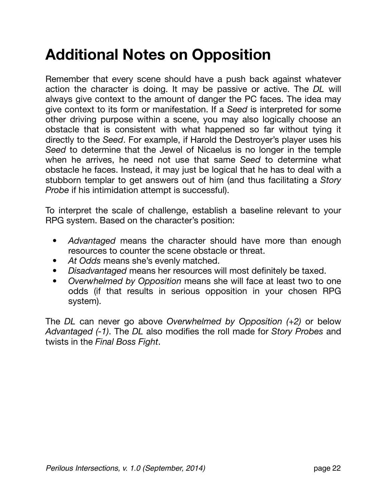## <span id="page-21-0"></span>**Additional Notes on Opposition**

Remember that every scene should have a push back against whatever action the character is doing. It may be passive or active. The *DL* will always give context to the amount of danger the PC faces. The idea may give context to its form or manifestation. If a *Seed* is interpreted for some other driving purpose within a scene, you may also logically choose an obstacle that is consistent with what happened so far without tying it directly to the *Seed*. For example, if Harold the Destroyer's player uses his *Seed* to determine that the Jewel of Nicaelus is no longer in the temple when he arrives, he need not use that same *Seed* to determine what obstacle he faces. Instead, it may just be logical that he has to deal with a stubborn templar to get answers out of him (and thus facilitating a *Story Probe* if his intimidation attempt is successful).

To interpret the scale of challenge, establish a baseline relevant to your RPG system. Based on the character's position:

- *• Advantaged* means the character should have more than enough resources to counter the scene obstacle or threat.
- *• At Odds* means she's evenly matched.
- *• Disadvantaged* means her resources will most definitely be taxed.
- *• Overwhelmed by Opposition* means she will face at least two to one odds (if that results in serious opposition in your chosen RPG system).

The *DL* can never go above *Overwhelmed by Opposition (+2)* or below *Advantaged (-1)*. The *DL* also modifies the roll made for *Story Probes* and twists in the *Final Boss Fight*.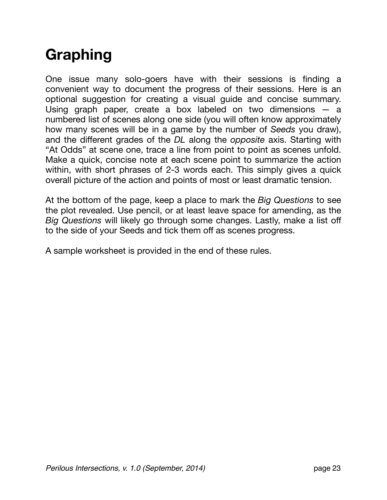## <span id="page-22-0"></span>**Graphing**

One issue many solo-goers have with their sessions is finding a convenient way to document the progress of their sessions. Here is an optional suggestion for creating a visual guide and concise summary. Using graph paper, create a box labeled on two dimensions — a numbered list of scenes along one side (you will often know approximately how many scenes will be in a game by the number of *Seeds* you draw), and the different grades of the *DL* along the *opposite* axis. Starting with "At Odds" at scene one, trace a line from point to point as scenes unfold. Make a quick, concise note at each scene point to summarize the action within, with short phrases of 2-3 words each. This simply gives a quick overall picture of the action and points of most or least dramatic tension.

At the bottom of the page, keep a place to mark the *Big Questions* to see the plot revealed. Use pencil, or at least leave space for amending, as the *Big Questions* will likely go through some changes. Lastly, make a list off to the side of your Seeds and tick them off as scenes progress.

A sample worksheet is provided in the end of these rules.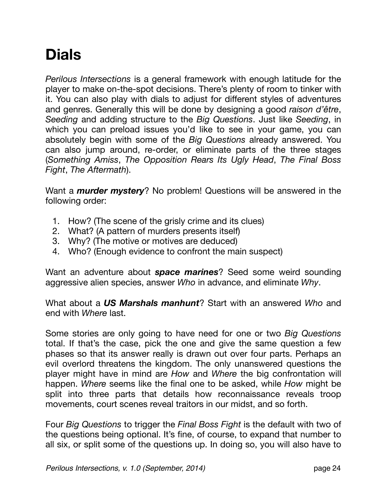## <span id="page-23-0"></span>**Dials**

*Perilous Intersections* is a general framework with enough latitude for the player to make on-the-spot decisions. There's plenty of room to tinker with it. You can also play with dials to adjust for different styles of adventures and genres. Generally this will be done by designing a good *raison d'être*, *Seeding* and adding structure to the *Big Questions*. Just like *Seeding*, in which you can preload issues you'd like to see in your game, you can absolutely begin with some of the *Big Questions* already answered. You can also jump around, re-order, or eliminate parts of the three stages (*Something Amiss*, *The Opposition Rears Its Ugly Head*, *The Final Boss Fight*, *The Aftermath*).

Want a *murder mystery*? No problem! Questions will be answered in the following order:

- 1. How? (The scene of the grisly crime and its clues)
- 2. What? (A pattern of murders presents itself)
- 3. Why? (The motive or motives are deduced)
- 4. Who? (Enough evidence to confront the main suspect)

Want an adventure about *space marines*? Seed some weird sounding aggressive alien species, answer *Who* in advance, and eliminate *Why*.

What about a *US Marshals manhunt*? Start with an answered *Who* and end with *Where* last.

Some stories are only going to have need for one or two *Big Questions* total. If that's the case, pick the one and give the same question a few phases so that its answer really is drawn out over four parts. Perhaps an evil overlord threatens the kingdom. The only unanswered questions the player might have in mind are *How* and *Where* the big confrontation will happen. *Where* seems like the final one to be asked, while *How* might be split into three parts that details how reconnaissance reveals troop movements, court scenes reveal traitors in our midst, and so forth.

Four *Big Questions* to trigger the *Final Boss Fight* is the default with two of the questions being optional. It's fine, of course, to expand that number to all six, or split some of the questions up. In doing so, you will also have to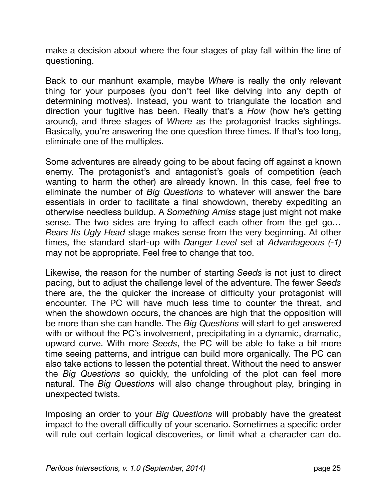make a decision about where the four stages of play fall within the line of questioning.

Back to our manhunt example, maybe *Where* is really the only relevant thing for your purposes (you don't feel like delving into any depth of determining motives). Instead, you want to triangulate the location and direction your fugitive has been. Really that's a *How* (how he's getting around), and three stages of *Where* as the protagonist tracks sightings. Basically, you're answering the one question three times. If that's too long, eliminate one of the multiples.

Some adventures are already going to be about facing off against a known enemy. The protagonist's and antagonist's goals of competition (each wanting to harm the other) are already known. In this case, feel free to eliminate the number of *Big Questions* to whatever will answer the bare essentials in order to facilitate a final showdown, thereby expediting an otherwise needless buildup. A *Something Amiss* stage just might not make sense. The two sides are trying to affect each other from the get go… *Rears Its Ugly Head* stage makes sense from the very beginning. At other times, the standard start-up with *Danger Level* set at *Advantageous (-1)* may not be appropriate. Feel free to change that too.

Likewise, the reason for the number of starting *Seeds* is not just to direct pacing, but to adjust the challenge level of the adventure. The fewer *Seeds* there are, the the quicker the increase of difficulty your protagonist will encounter. The PC will have much less time to counter the threat, and when the showdown occurs, the chances are high that the opposition will be more than she can handle. The *Big Questions* will start to get answered with or without the PC's involvement, precipitating in a dynamic, dramatic, upward curve. With more *Seeds*, the PC will be able to take a bit more time seeing patterns, and intrigue can build more organically. The PC can also take actions to lessen the potential threat. Without the need to answer the *Big Questions* so quickly, the unfolding of the plot can feel more natural. The *Big Questions* will also change throughout play, bringing in unexpected twists.

Imposing an order to your *Big Questions* will probably have the greatest impact to the overall difficulty of your scenario. Sometimes a specific order will rule out certain logical discoveries, or limit what a character can do.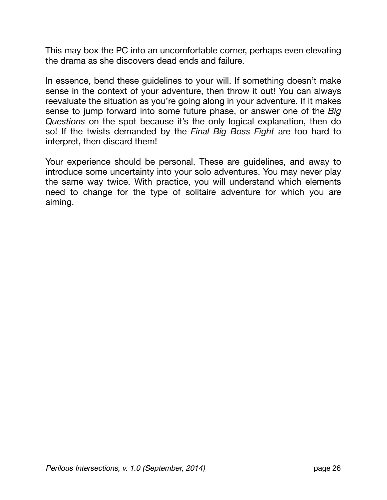This may box the PC into an uncomfortable corner, perhaps even elevating the drama as she discovers dead ends and failure.

In essence, bend these guidelines to your will. If something doesn't make sense in the context of your adventure, then throw it out! You can always reevaluate the situation as you're going along in your adventure. If it makes sense to jump forward into some future phase, or answer one of the *Big Questions* on the spot because it's the only logical explanation, then do so! If the twists demanded by the *Final Big Boss Fight* are too hard to interpret, then discard them!

Your experience should be personal. These are guidelines, and away to introduce some uncertainty into your solo adventures. You may never play the same way twice. With practice, you will understand which elements need to change for the type of solitaire adventure for which you are aiming.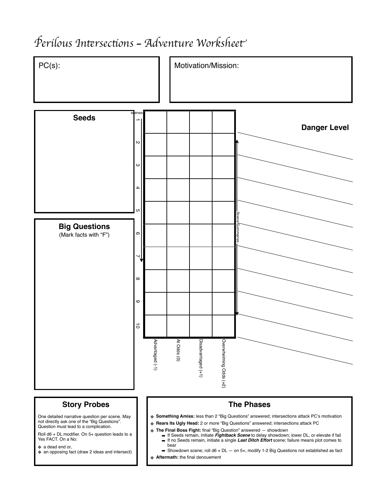### P*erilous In*"*rsec*#*ons — Adventure Workshee*t



! **Aftermath:** the final denouement

*Perilous Intersections, v. 1.0 (September, 2014)* page 27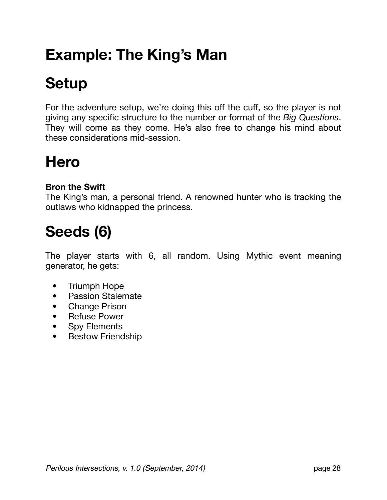## <span id="page-27-0"></span>**Example: The King's Man**

## <span id="page-27-1"></span>**Setup**

For the adventure setup, we're doing this off the cuff, so the player is not giving any specific structure to the number or format of the *Big Questions*. They will come as they come. He's also free to change his mind about these considerations mid-session.

## **Hero**

#### **Bron the Swift**

The King's man, a personal friend. A renowned hunter who is tracking the outlaws who kidnapped the princess.

## **Seeds (6)**

The player starts with 6, all random. Using Mythic event meaning generator, he gets:

- Triumph Hope
- Passion Stalemate
- Change Prison
- Refuse Power
- Spy Elements
- Bestow Friendship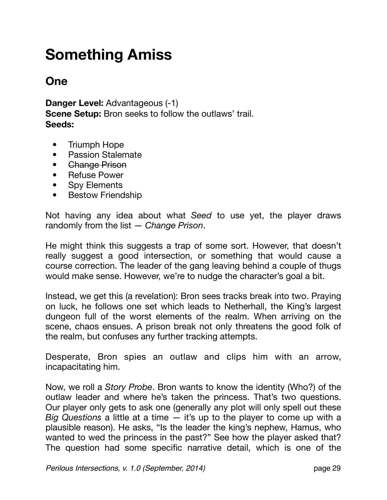## <span id="page-28-0"></span>**Something Amiss**

#### **One**

**Danger Level:** Advantageous (-1) **Scene Setup:** Bron seeks to follow the outlaws' trail. **Seeds:**

- Triumph Hope
- Passion Stalemate
- Change Prison
- Refuse Power
- Spy Elements
- Bestow Friendship

Not having any idea about what *Seed* to use yet, the player draws randomly from the list — *Change Prison*.

He might think this suggests a trap of some sort. However, that doesn't really suggest a good intersection, or something that would cause a course correction. The leader of the gang leaving behind a couple of thugs would make sense. However, we're to nudge the character's goal a bit.

Instead, we get this (a revelation): Bron sees tracks break into two. Praying on luck, he follows one set which leads to Netherhall, the King's largest dungeon full of the worst elements of the realm. When arriving on the scene, chaos ensues. A prison break not only threatens the good folk of the realm, but confuses any further tracking attempts.

Desperate, Bron spies an outlaw and clips him with an arrow, incapacitating him.

Now, we roll a *Story Probe*. Bron wants to know the identity (Who?) of the outlaw leader and where he's taken the princess. That's two questions. Our player only gets to ask one (generally any plot will only spell out these *Big Questions* a little at a time — it's up to the player to come up with a plausible reason). He asks, "Is the leader the king's nephew, Hamus, who wanted to wed the princess in the past?" See how the player asked that? The question had some specific narrative detail, which is one of the

*Perilous Intersections, v. 1.0 (September, 2014)* page 29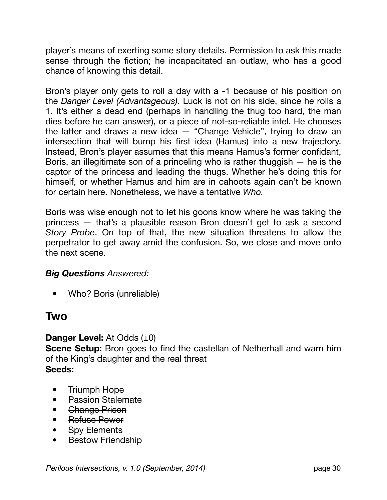player's means of exerting some story details. Permission to ask this made sense through the fiction; he incapacitated an outlaw, who has a good chance of knowing this detail.

Bron's player only gets to roll a day with a -1 because of his position on the *Danger Level (Advantageous)*. Luck is not on his side, since he rolls a 1. It's either a dead end (perhaps in handling the thug too hard, the man dies before he can answer), or a piece of not-so-reliable intel. He chooses the latter and draws a new idea — "Change Vehicle", trying to draw an intersection that will bump his first idea (Hamus) into a new trajectory. Instead, Bron's player assumes that this means Hamus's former confidant, Boris, an illegitimate son of a princeling who is rather thuggish — he is the captor of the princess and leading the thugs. Whether he's doing this for himself, or whether Hamus and him are in cahoots again can't be known for certain here. Nonetheless, we have a tentative *Who.*

Boris was wise enough not to let his goons know where he was taking the princess — that's a plausible reason Bron doesn't get to ask a second *Story Probe*. On top of that, the new situation threatens to allow the perpetrator to get away amid the confusion. So, we close and move onto the next scene.

#### *Big Questions Answered:*

• Who? Boris (unreliable)

#### **Two**

#### **Danger Level:** At Odds (±0)

**Scene Setup:** Bron goes to find the castellan of Netherhall and warn him of the King's daughter and the real threat **Seeds:**

- Triumph Hope
- Passion Stalemate
- **Change Prison**
- Refuse Power
- Spy Elements
- Bestow Friendship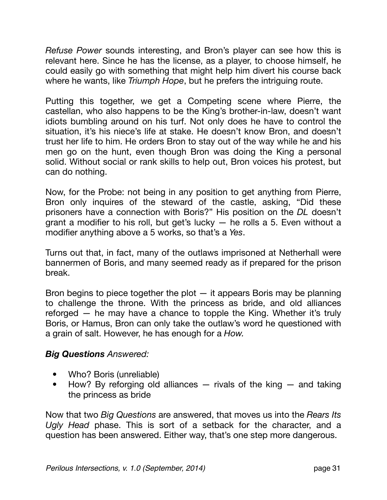*Refuse Power* sounds interesting, and Bron's player can see how this is relevant here. Since he has the license, as a player, to choose himself, he could easily go with something that might help him divert his course back where he wants, like *Triumph Hope*, but he prefers the intriguing route.

Putting this together, we get a Competing scene where Pierre, the castellan, who also happens to be the King's brother-in-law, doesn't want idiots bumbling around on his turf. Not only does he have to control the situation, it's his niece's life at stake. He doesn't know Bron, and doesn't trust her life to him. He orders Bron to stay out of the way while he and his men go on the hunt, even though Bron was doing the King a personal solid. Without social or rank skills to help out, Bron voices his protest, but can do nothing.

Now, for the Probe: not being in any position to get anything from Pierre, Bron only inquires of the steward of the castle, asking, "Did these prisoners have a connection with Boris?" His position on the *DL* doesn't grant a modifier to his roll, but get's lucky — he rolls a 5. Even without a modifier anything above a 5 works, so that's a *Yes*.

Turns out that, in fact, many of the outlaws imprisoned at Netherhall were bannermen of Boris, and many seemed ready as if prepared for the prison break.

Bron begins to piece together the plot — it appears Boris may be planning to challenge the throne. With the princess as bride, and old alliances reforged — he may have a chance to topple the King. Whether it's truly Boris, or Hamus, Bron can only take the outlaw's word he questioned with a grain of salt. However, he has enough for a *How.*

#### *Big Questions Answered:*

- Who? Boris (unreliable)
- How? By reforging old alliances  $-$  rivals of the king  $-$  and taking the princess as bride

Now that two *Big Questions* are answered, that moves us into the *Rears Its Ugly Head* phase. This is sort of a setback for the character, and a question has been answered. Either way, that's one step more dangerous.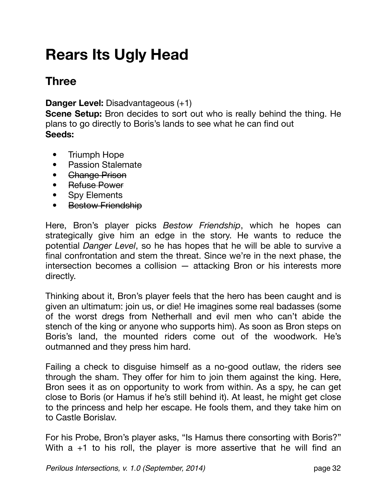## <span id="page-31-0"></span>**Rears Its Ugly Head**

### **Three**

**Danger Level:** Disadvantageous (+1)

**Scene Setup:** Bron decides to sort out who is really behind the thing. He plans to go directly to Boris's lands to see what he can find out **Seeds:**

- Triumph Hope
- Passion Stalemate
- **Change Prison**
- Refuse Power
- Spy Elements
- Bestow Friendship

Here, Bron's player picks *Bestow Friendship*, which he hopes can strategically give him an edge in the story. He wants to reduce the potential *Danger Level*, so he has hopes that he will be able to survive a final confrontation and stem the threat. Since we're in the next phase, the intersection becomes a collision — attacking Bron or his interests more directly.

Thinking about it, Bron's player feels that the hero has been caught and is given an ultimatum: join us, or die! He imagines some real badasses (some of the worst dregs from Netherhall and evil men who can't abide the stench of the king or anyone who supports him). As soon as Bron steps on Boris's land, the mounted riders come out of the woodwork. He's outmanned and they press him hard.

Failing a check to disguise himself as a no-good outlaw, the riders see through the sham. They offer for him to join them against the king. Here, Bron sees it as on opportunity to work from within. As a spy, he can get close to Boris (or Hamus if he's still behind it). At least, he might get close to the princess and help her escape. He fools them, and they take him on to Castle Borislav.

For his Probe, Bron's player asks, "Is Hamus there consorting with Boris?" With  $a +1$  to his roll, the player is more assertive that he will find an

*Perilous Intersections, v. 1.0 (September, 2014)* page 32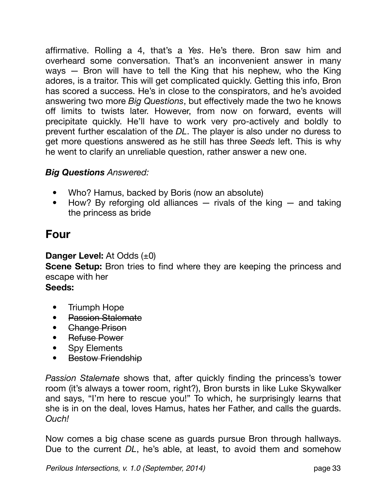affirmative. Rolling a 4, that's a *Yes*. He's there. Bron saw him and overheard some conversation. That's an inconvenient answer in many ways — Bron will have to tell the King that his nephew, who the King adores, is a traitor. This will get complicated quickly. Getting this info, Bron has scored a success. He's in close to the conspirators, and he's avoided answering two more *Big Questions*, but effectively made the two he knows off limits to twists later. However, from now on forward, events will precipitate quickly. He'll have to work very pro-actively and boldly to prevent further escalation of the *DL*. The player is also under no duress to get more questions answered as he still has three *Seeds* left. This is why he went to clarify an unreliable question, rather answer a new one.

#### *Big Questions Answered:*

- Who? Hamus, backed by Boris (now an absolute)
- How? By reforging old alliances rivals of the king and taking the princess as bride

#### **Four**

#### **Danger Level:** At Odds (±0)

**Scene Setup:** Bron tries to find where they are keeping the princess and escape with her

#### **Seeds:**

- Triumph Hope
- Passion Stalemate
- Change Prison
- Refuse Power
- Spy Elements
- Bestow Friendship

*Passion Stalemate* shows that, after quickly finding the princess's tower room (it's always a tower room, right?), Bron bursts in like Luke Skywalker and says, "I'm here to rescue you!" To which, he surprisingly learns that she is in on the deal, loves Hamus, hates her Father, and calls the guards. *Ouch!*

Now comes a big chase scene as guards pursue Bron through hallways. Due to the current *DL*, he's able, at least, to avoid them and somehow

*Perilous Intersections, v. 1.0 (September, 2014)* page 33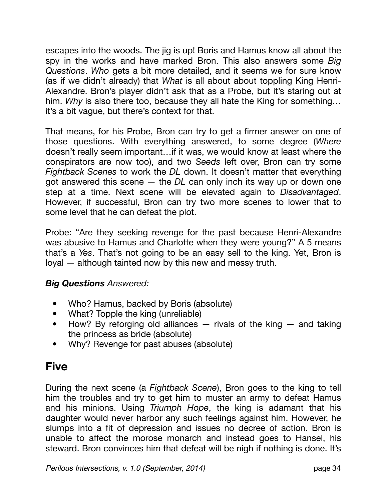escapes into the woods. The jig is up! Boris and Hamus know all about the spy in the works and have marked Bron. This also answers some *Big Questions*. *Who* gets a bit more detailed, and it seems we for sure know (as if we didn't already) that *What* is all about about toppling King Henri-Alexandre. Bron's player didn't ask that as a Probe, but it's staring out at him. *Why* is also there too, because they all hate the King for something… it's a bit vague, but there's context for that.

That means, for his Probe, Bron can try to get a firmer answer on one of those questions. With everything answered, to some degree (*Where* doesn't really seem important…if it was, we would know at least where the conspirators are now too), and two *Seeds* left over, Bron can try some *Fightback Scenes* to work the *DL* down. It doesn't matter that everything got answered this scene — the *DL* can only inch its way up or down one step at a time. Next scene will be elevated again to *Disadvantaged*. However, if successful, Bron can try two more scenes to lower that to some level that he can defeat the plot.

Probe: "Are they seeking revenge for the past because Henri-Alexandre was abusive to Hamus and Charlotte when they were young?" A 5 means that's a *Yes*. That's not going to be an easy sell to the king. Yet, Bron is loyal — although tainted now by this new and messy truth.

#### *Big Questions Answered:*

- Who? Hamus, backed by Boris (absolute)
- What? Topple the king (unreliable)
- How? By reforging old alliances  $-$  rivals of the king  $-$  and taking the princess as bride (absolute)
- Why? Revenge for past abuses (absolute)

### **Five**

During the next scene (a *Fightback Scene*), Bron goes to the king to tell him the troubles and try to get him to muster an army to defeat Hamus and his minions. Using *Triumph Hope*, the king is adamant that his daughter would never harbor any such feelings against him. However, he slumps into a fit of depression and issues no decree of action. Bron is unable to affect the morose monarch and instead goes to Hansel, his steward. Bron convinces him that defeat will be nigh if nothing is done. It's